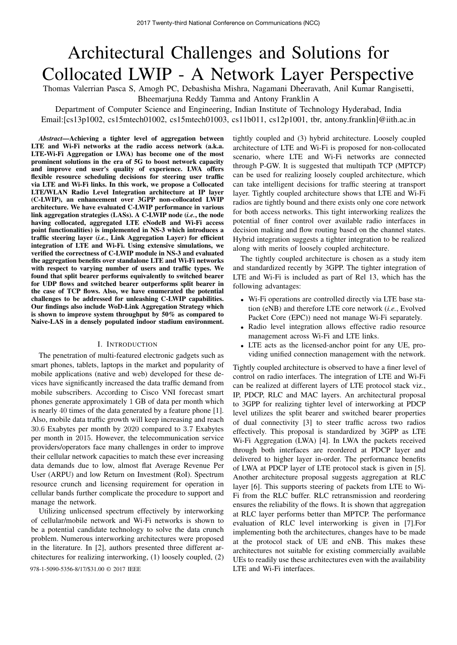# Architectural Challenges and Solutions for Collocated LWIP - A Network Layer Perspective

Thomas Valerrian Pasca S, Amogh PC, Debashisha Mishra, Nagamani Dheeravath, Anil Kumar Rangisetti, Bheemarjuna Reddy Tamma and Antony Franklin A

Department of Computer Science and Engineering, Indian Institute of Technology Hyderabad, India Email:[cs13p1002, cs15mtech01002, cs15mtech01003, cs11b011, cs12p1001, tbr, antony.franklin]@iith.ac.in

*Abstract*—Achieving a tighter level of aggregation between LTE and Wi-Fi networks at the radio access network (a.k.a. LTE-Wi-Fi Aggregation or LWA) has become one of the most prominent solutions in the era of 5G to boost network capacity and improve end user's quality of experience. LWA offers flexible resource scheduling decisions for steering user traffic via LTE and Wi-Fi links. In this work, we propose a Collocated LTE/WLAN Radio Level Integration architecture at IP layer (C-LWIP), an enhancement over 3GPP non-collocated LWIP architecture. We have evaluated C-LWIP performance in various link aggregation strategies (LASs). A C-LWIP node (*i.e.*, the node having collocated, aggregated LTE eNodeB and Wi-Fi access point functionalities) is implemented in NS-3 which introduces a traffic steering layer (*i.e.*, Link Aggregation Layer) for efficient integration of LTE and Wi-Fi. Using extensive simulations, we verified the correctness of C-LWIP module in NS-3 and evaluated the aggregation benefits over standalone LTE and Wi-Fi networks with respect to varying number of users and traffic types. We found that split bearer performs equivalently to switched bearer for UDP flows and switched bearer outperforms split bearer in the case of TCP flows. Also, we have enumerated the potential challenges to be addressed for unleashing C-LWIP capabilities. Our findings also include WoD-Link Aggregation Strategy which is shown to improve system throughput by 50% as compared to Naive-LAS in a densely populated indoor stadium environment.

#### I. INTRODUCTION

The penetration of multi-featured electronic gadgets such as smart phones, tablets, laptops in the market and popularity of mobile applications (native and web) developed for these devices have significantly increased the data traffic demand from mobile subscribers. According to Cisco VNI forecast smart phones generate approximately 1 GB of data per month which is nearly 40 times of the data generated by a feature phone [1]. Also, mobile data traffic growth will keep increasing and reach 30.6 Exabytes per month by 2020 compared to 3.7 Exabytes per month in 2015. However, the telecommunication service providers/operators face many challenges in order to improve their cellular network capacities to match these ever increasing data demands due to low, almost flat Average Revenue Per User (ARPU) and low Return on Investment (RoI). Spectrum resource crunch and licensing requirement for operation in cellular bands further complicate the procedure to support and manage the network.

Utilizing unlicensed spectrum effectively by interworking of cellular/mobile network and Wi-Fi networks is shown to be a potential candidate technology to solve the data crunch problem. Numerous interworking architectures were proposed in the literature. In [2], authors presented three different architectures for realizing interworking, (1) loosely coupled, (2)

978-1-5090-5356-8/17/\$31.00 © 2017 IEEE LTE and Wi-Fi interfaces.

tightly coupled and (3) hybrid architecture. Loosely coupled architecture of LTE and Wi-Fi is proposed for non-collocated scenario, where LTE and Wi-Fi networks are connected through P-GW. It is suggested that multipath TCP (MPTCP) can be used for realizing loosely coupled architecture, which can take intelligent decisions for traffic steering at transport layer. Tightly coupled architecture shows that LTE and Wi-Fi radios are tightly bound and there exists only one core network for both access networks. This tight interworking realizes the potential of finer control over available radio interfaces in decision making and flow routing based on the channel states. Hybrid integration suggests a tighter integration to be realized along with merits of loosely coupled architecture.

The tightly coupled architecture is chosen as a study item and standardized recently by 3GPP. The tighter integration of LTE and Wi-Fi is included as part of Rel 13, which has the following advantages:

- Wi-Fi operations are controlled directly via LTE base station (eNB) and therefore LTE core network (*i.e.*, Evolved Packet Core (EPC)) need not manage Wi-Fi separately.
- Radio level integration allows effective radio resource management across Wi-Fi and LTE links.
- LTE acts as the licensed-anchor point for any UE, providing unified connection management with the network.

Tightly coupled architecture is observed to have a finer level of control on radio interfaces. The integration of LTE and Wi-Fi can be realized at different layers of LTE protocol stack viz., IP, PDCP, RLC and MAC layers. An architectural proposal to 3GPP for realizing tighter level of interworking at PDCP level utilizes the split bearer and switched bearer properties of dual connectivity [3] to steer traffic across two radios effectively. This proposal is standardized by 3GPP as LTE Wi-Fi Aggregation (LWA) [4]. In LWA the packets received through both interfaces are reordered at PDCP layer and delivered to higher layer in-order. The performance benefits of LWA at PDCP layer of LTE protocol stack is given in [5]. Another architecture proposal suggests aggregation at RLC layer [6]. This supports steering of packets from LTE to Wi-Fi from the RLC buffer. RLC retransmission and reordering ensures the reliability of the flows. It is shown that aggregation at RLC layer performs better than MPTCP. The performance evaluation of RLC level interworking is given in [7].For implementing both the architectures, changes have to be made at the protocol stack of UE and eNB. This makes these architectures not suitable for existing commercially available UEs to readily use these architectures even with the availability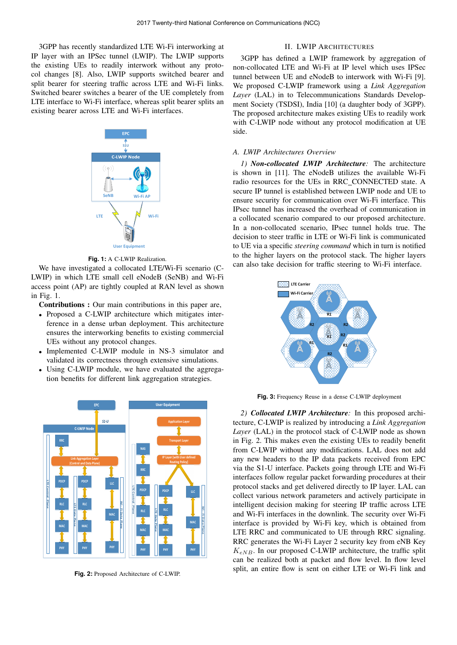3GPP has recently standardized LTE Wi-Fi interworking at IP layer with an IPSec tunnel (LWIP). The LWIP supports the existing UEs to readily interwork without any protocol changes [8]. Also, LWIP supports switched bearer and split bearer for steering traffic across LTE and Wi-Fi links. Switched bearer switches a bearer of the UE completely from LTE interface to Wi-Fi interface, whereas split bearer splits an existing bearer across LTE and Wi-Fi interfaces.



**Fig. 1:** A C-LWIP Realization.

We have investigated a collocated LTE/Wi-Fi scenario (C-LWIP) in which LTE small cell eNodeB (SeNB) and Wi-Fi access point (AP) are tightly coupled at RAN level as shown in Fig. 1.

Contributions : Our main contributions in this paper are,

- Proposed a C-LWIP architecture which mitigates interference in a dense urban deployment. This architecture ensures the interworking benefits to existing commercial UEs without any protocol changes.
- Implemented C-LWIP module in NS-3 simulator and validated its correctness through extensive simulations.
- Using C-LWIP module, we have evaluated the aggregation benefits for different link aggregation strategies.



**Fig. 2:** Proposed Architecture of C-LWIP.

## II. LWIP ARCHITECTURES

3GPP has defined a LWIP framework by aggregation of non-collocated LTE and Wi-Fi at IP level which uses IPSec tunnel between UE and eNodeB to interwork with Wi-Fi [9]. We proposed C-LWIP framework using a *Link Aggregation Layer* (LAL) in to Telecommunications Standards Development Society (TSDSI), India [10] (a daughter body of 3GPP). The proposed architecture makes existing UEs to readily work with C-LWIP node without any protocol modification at UE side.

## *A. LWIP Architectures Overview*

*1) Non-collocated LWIP Architecture:* The architecture is shown in [11]. The eNodeB utilizes the available Wi-Fi radio resources for the UEs in RRC CONNECTED state. A secure IP tunnel is established between LWIP node and UE to ensure security for communication over Wi-Fi interface. This IPsec tunnel has increased the overhead of communication in a collocated scenario compared to our proposed architecture. In a non-collocated scenario, IPsec tunnel holds true. The decision to steer traffic in LTE or Wi-Fi link is communicated to UE via a specific *steering command* which in turn is notified to the higher layers on the protocol stack. The higher layers can also take decision for traffic steering to Wi-Fi interface.



**Fig. 3:** Frequency Reuse in a dense C-LWIP deployment

*2) Collocated LWIP Architecture:* In this proposed architecture, C-LWIP is realized by introducing a *Link Aggregation Layer* (LAL) in the protocol stack of C-LWIP node as shown in Fig. 2. This makes even the existing UEs to readily benefit from C-LWIP without any modifications. LAL does not add any new headers to the IP data packets received from EPC via the S1-U interface. Packets going through LTE and Wi-Fi interfaces follow regular packet forwarding procedures at their protocol stacks and get delivered directly to IP layer. LAL can collect various network parameters and actively participate in intelligent decision making for steering IP traffic across LTE and Wi-Fi interfaces in the downlink. The security over Wi-Fi interface is provided by Wi-Fi key, which is obtained from LTE RRC and communicated to UE through RRC signaling. RRC generates the Wi-Fi Layer 2 security key from eNB Key  $K_{eNB}$ . In our proposed C-LWIP architecture, the traffic split can be realized both at packet and flow level. In flow level split, an entire flow is sent on either LTE or Wi-Fi link and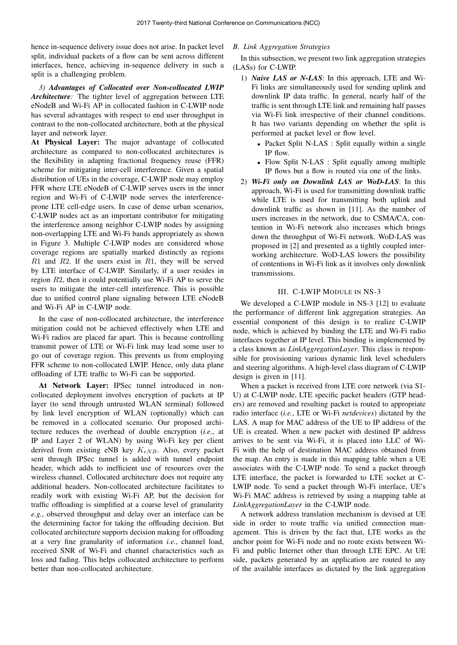hence in-sequence delivery issue does not arise. In packet level split, individual packets of a flow can be sent across different interfaces, hence, achieving in-sequence delivery in such a split is a challenging problem.

*3) Advantages of Collocated over Non-collocated LWIP Architecture:* The tighter level of aggregation between LTE eNodeB and Wi-Fi AP in collocated fashion in C-LWIP node has several advantages with respect to end user throughput in contrast to the non-collocated architecture, both at the physical layer and network layer.

At Physical Layer: The major advantage of collocated architecture as compared to non-collocated architectures is the flexibility in adapting fractional frequency reuse (FFR) scheme for mitigating inter-cell interference. Given a spatial distribution of UEs in the coverage, C-LWIP node may employ FFR where LTE eNodeB of C-LWIP serves users in the inner region and Wi-Fi of C-LWIP node serves the interferenceprone LTE cell-edge users. In case of dense urban scenarios, C-LWIP nodes act as an important contributor for mitigating the interference among neighbor C-LWIP nodes by assigning non-overlapping LTE and Wi-Fi bands appropriately as shown in Figure 3. Multiple C-LWIP nodes are considered whose coverage regions are spatially marked distinctly as regions  $R1$  and  $R2$ . If the users exist in  $R1$ , they will be served by LTE interface of C-LWIP. Similarly, if a user resides in region R2, then it could potentially use Wi-Fi AP to serve the users to mitigate the inter-cell interference. This is possible due to unified control plane signaling between LTE eNodeB and Wi-Fi AP in C-LWIP node.

In the case of non-collocated architecture, the interference mitigation could not be achieved effectively when LTE and Wi-Fi radios are placed far apart. This is because controlling transmit power of LTE or Wi-Fi link may lead some user to go out of coverage region. This prevents us from employing FFR scheme to non-collocated LWIP. Hence, only data plane offloading of LTE traffic to Wi-Fi can be supported.

At Network Layer: IPSec tunnel introduced in noncollocated deployment involves encryption of packets at IP layer (to send through untrusted WLAN terminal) followed by link level encryption of WLAN (optionally) which can be removed in a collocated scenario. Our proposed architecture reduces the overhead of double encryption (*i.e.*, at IP and Layer 2 of WLAN) by using Wi-Fi key per client derived from existing eNB key  $K_{eNB}$ . Also, every packet sent through IPSec tunnel is added with tunnel endpoint header, which adds to inefficient use of resources over the wireless channel. Collocated architecture does not require any additional headers. Non-collocated architecture facilitates to readily work with existing Wi-Fi AP, but the decision for traffic offloading is simplified at a coarse level of granularity *e.g.*, observed throughput and delay over an interface can be the determining factor for taking the offloading decision. But collocated architecture supports decision making for offloading at a very fine granularity of information *i.e.*, channel load, received SNR of Wi-Fi and channel characteristics such as loss and fading. This helps collocated architecture to perform better than non-collocated architecture.

## *B. Link Aggregation Strategies*

In this subsection, we present two link aggregation strategies (LASs) for C-LWIP.

- 1) *Naive LAS or N-LAS*: In this approach, LTE and Wi-Fi links are simultaneously used for sending uplink and downlink IP data traffic. In general, nearly half of the traffic is sent through LTE link and remaining half passes via Wi-Fi link irrespective of their channel conditions. It has two variants depending on whether the split is performed at packet level or flow level.
	- Packet Split N-LAS : Split equally within a single IP flow.
	- Flow Split N-LAS : Split equally among multiple IP flows but a flow is routed via one of the links.
- 2) *Wi-Fi only on Downlink LAS or WoD-LAS*: In this approach, Wi-Fi is used for transmitting downlink traffic while LTE is used for transmitting both uplink and downlink traffic as shown in [11]. As the number of users increases in the network, due to CSMA/CA, contention in Wi-Fi network also increases which brings down the throughput of Wi-Fi network. WoD-LAS was proposed in [2] and presented as a tightly coupled interworking architecture. WoD-LAS lowers the possibility of contentions in Wi-Fi link as it involves only downlink transmissions.

#### III. C-LWIP MODULE IN NS-3

We developed a C-LWIP module in NS-3 [12] to evaluate the performance of different link aggregation strategies. An essential component of this design is to realize C-LWIP node, which is achieved by binding the LTE and Wi-Fi radio interfaces together at IP level. This binding is implemented by a class known as *LinkAggregationLayer*. This class is responsible for provisioning various dynamic link level schedulers and steering algorithms. A high-level class diagram of C-LWIP design is given in [11].

When a packet is received from LTE core network (via S1- U) at C-LWIP node, LTE specific packet headers (GTP headers) are removed and resulting packet is routed to appropriate radio interface (*i.e.*, LTE or Wi-Fi *netdevices*) dictated by the LAS. A map for MAC address of the UE to IP address of the UE is created. When a new packet with destined IP address arrives to be sent via Wi-Fi, it is placed into LLC of Wi-Fi with the help of destination MAC address obtained from the map. An entry is made in this mapping table when a UE associates with the C-LWIP node. To send a packet through LTE interface, the packet is forwarded to LTE socket at C-LWIP node. To send a packet through Wi-Fi interface, UE's Wi-Fi MAC address is retrieved by using a mapping table at *LinkAggregationLayer* in the C-LWIP node.

A network address translation mechanism is devised at UE side in order to route traffic via unified connection management. This is driven by the fact that, LTE works as the anchor point for Wi-Fi node and no route exists between Wi-Fi and public Internet other than through LTE EPC. At UE side, packets generated by an application are routed to any of the available interfaces as dictated by the link aggregation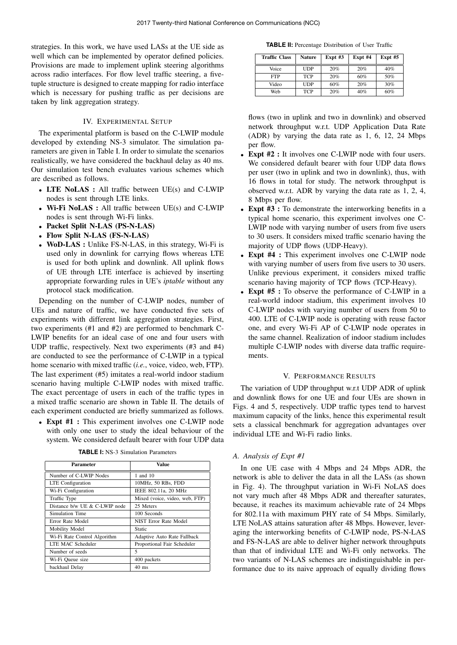strategies. In this work, we have used LASs at the UE side as well which can be implemented by operator defined policies. Provisions are made to implement uplink steering algorithms across radio interfaces. For flow level traffic steering, a fivetuple structure is designed to create mapping for radio interface which is necessary for pushing traffic as per decisions are taken by link aggregation strategy.

#### IV. EXPERIMENTAL SETUP

The experimental platform is based on the C-LWIP module developed by extending NS-3 simulator. The simulation parameters are given in Table I. In order to simulate the scenarios realistically, we have considered the backhaul delay as 40 ms. Our simulation test bench evaluates various schemes which are described as follows.

- LTE NoLAS : All traffic between UE(s) and C-LWIP nodes is sent through LTE links.
- Wi-Fi NoLAS : All traffic between UE(s) and C-LWIP nodes is sent through Wi-Fi links.
- Packet Split N-LAS (PS-N-LAS)
- Flow Split N-LAS (FS-N-LAS)
- WoD-LAS : Unlike FS-N-LAS, in this strategy, Wi-Fi is used only in downlink for carrying flows whereas LTE is used for both uplink and downlink. All uplink flows of UE through LTE interface is achieved by inserting appropriate forwarding rules in UE's *iptable* without any protocol stack modification.

Depending on the number of C-LWIP nodes, number of UEs and nature of traffic, we have conducted five sets of experiments with different link aggregation strategies. First, two experiments (#1 and #2) are performed to benchmark C-LWIP benefits for an ideal case of one and four users with UDP traffic, respectively. Next two experiments (#3 and #4) are conducted to see the performance of C-LWIP in a typical home scenario with mixed traffic (*i.e.*, voice, video, web, FTP). The last experiment (#5) imitates a real-world indoor stadium scenario having multiple C-LWIP nodes with mixed traffic. The exact percentage of users in each of the traffic types in a mixed traffic scenario are shown in Table II. The details of each experiment conducted are briefly summarized as follows.

• Expt #1 : This experiment involves one C-LWIP node with only one user to study the ideal behaviour of the system. We considered default bearer with four UDP data

**TABLE I:** NS-3 Simulation Parameters

| Parameter                       | Value                          |  |
|---------------------------------|--------------------------------|--|
| Number of C-LWIP Nodes          | 1 and $10$                     |  |
| LTE Configuration               | 10MHz, 50 RBs, FDD             |  |
| Wi-Fi Configuration             | IEEE 802.11a, 20 MHz           |  |
| Traffic Type                    | Mixed (voice, video, web, FTP) |  |
| Distance $b/w$ UE & C-LWIP node | 25 Meters                      |  |
| Simulation Time                 | 100 Seconds                    |  |
| Error Rate Model                | NIST Error Rate Model          |  |
| Mobility Model                  | Static                         |  |
| Wi-Fi Rate Control Algorithm    | Adaptive Auto Rate Fallback    |  |
| LTE MAC Scheduler               | Proportional Fair Scheduler    |  |
| Number of seeds                 | 5                              |  |
| Wi-Fi Queue size                | 400 packets                    |  |
| backhaul Delay                  | $40 \text{ ms}$                |  |

**TABLE II:** Percentage Distribution of User Traffic

| <b>Traffic Class</b> | <b>Nature</b> | Expt #3 | Expt #4 | Expt #5 |
|----------------------|---------------|---------|---------|---------|
| Voice                | UDP           | 20%     | 20%     | 40%     |
| FTP                  | <b>TCP</b>    | 20%     | 60%     | 50%     |
| Video                | UDP           | 60%     | 20%     | 30%     |
| Web                  | TCP           | 20%     | 40%     | 60%     |

flows (two in uplink and two in downlink) and observed network throughput w.r.t. UDP Application Data Rate (ADR) by varying the data rate as 1, 6, 12, 24 Mbps per flow.

- Expt #2 : It involves one C-LWIP node with four users. We considered default bearer with four UDP data flows per user (two in uplink and two in downlink), thus, with 16 flows in total for study. The network throughput is observed w.r.t. ADR by varying the data rate as 1, 2, 4, 8 Mbps per flow.
- Expt #3 : To demonstrate the interworking benefits in a typical home scenario, this experiment involves one C-LWIP node with varying number of users from five users to 30 users. It considers mixed traffic scenario having the majority of UDP flows (UDP-Heavy).
- Expt #4 : This experiment involves one C-LWIP node with varying number of users from five users to 30 users. Unlike previous experiment, it considers mixed traffic scenario having majority of TCP flows (TCP-Heavy).
- Expt #5 : To observe the performance of C-LWIP in a real-world indoor stadium, this experiment involves 10 C-LWIP nodes with varying number of users from 50 to 400. LTE of C-LWIP node is operating with reuse factor one, and every Wi-Fi AP of C-LWIP node operates in the same channel. Realization of indoor stadium includes multiple C-LWIP nodes with diverse data traffic requirements.

# V. PERFORMANCE RESULTS

The variation of UDP throughput w.r.t UDP ADR of uplink and downlink flows for one UE and four UEs are shown in Figs. 4 and 5, respectively. UDP traffic types tend to harvest maximum capacity of the links, hence this experimental result sets a classical benchmark for aggregation advantages over individual LTE and Wi-Fi radio links.

## *A. Analysis of Expt #1*

In one UE case with 4 Mbps and 24 Mbps ADR, the network is able to deliver the data in all the LASs (as shown in Fig. 4). The throughput variation in Wi-Fi NoLAS does not vary much after 48 Mbps ADR and thereafter saturates, because, it reaches its maximum achievable rate of 24 Mbps for 802.11a with maximum PHY rate of 54 Mbps. Similarly, LTE NoLAS attains saturation after 48 Mbps. However, leveraging the interworking benefits of C-LWIP node, PS-N-LAS and FS-N-LAS are able to deliver higher network throughputs than that of individual LTE and Wi-Fi only networks. The two variants of N-LAS schemes are indistinguishable in performance due to its naive approach of equally dividing flows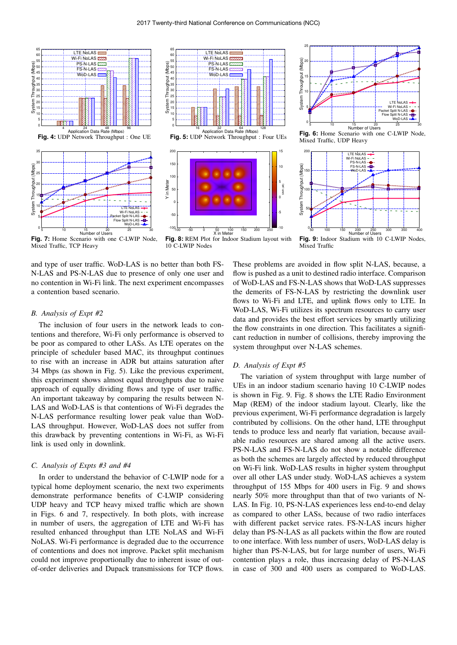





**Fig. 6:** Home Scenario with one C-LWIP Node, Mixed Traffic, UDP Heavy



**Fig. 7:** Home Scenario with one C-LWIP Node, Mixed Traffic, TCP Heavy

-100 -50 0 50 100 150 200 250 X in Meter **Fig. 8:** REM Plot for Indoor Stadium layout with 10 C-LWIP Nodes

and type of user traffic. WoD-LAS is no better than both FS-N-LAS and PS-N-LAS due to presence of only one user and no contention in Wi-Fi link. The next experiment encompasses a contention based scenario.

**Fig. 9:** Indoor Stadium with 10 C-LWIP Nodes, Mixed Traffic

#### *B. Analysis of Expt #2*

The inclusion of four users in the network leads to contentions and therefore, Wi-Fi only performance is observed to be poor as compared to other LASs. As LTE operates on the principle of scheduler based MAC, its throughput continues to rise with an increase in ADR but attains saturation after 34 Mbps (as shown in Fig. 5). Like the previous experiment, this experiment shows almost equal throughputs due to naive approach of equally dividing flows and type of user traffic. An important takeaway by comparing the results between N-LAS and WoD-LAS is that contentions of Wi-Fi degrades the N-LAS performance resulting lower peak value than WoD-LAS throughput. However, WoD-LAS does not suffer from this drawback by preventing contentions in Wi-Fi, as Wi-Fi link is used only in downlink.

## *C. Analysis of Expts #3 and #4*

In order to understand the behavior of C-LWIP node for a typical home deployment scenario, the next two experiments demonstrate performance benefits of C-LWIP considering UDP heavy and TCP heavy mixed traffic which are shown in Figs. 6 and 7, respectively. In both plots, with increase in number of users, the aggregation of LTE and Wi-Fi has resulted enhanced throughput than LTE NoLAS and Wi-Fi NoLAS. Wi-Fi performance is degraded due to the occurrence of contentions and does not improve. Packet split mechanism could not improve proportionally due to inherent issue of outof-order deliveries and Dupack transmissions for TCP flows.

These problems are avoided in flow split N-LAS, because, a flow is pushed as a unit to destined radio interface. Comparison of WoD-LAS and FS-N-LAS shows that WoD-LAS suppresses the demerits of FS-N-LAS by restricting the downlink user flows to Wi-Fi and LTE, and uplink flows only to LTE. In WoD-LAS, Wi-Fi utilizes its spectrum resources to carry user data and provides the best effort services by smartly utilizing the flow constraints in one direction. This facilitates a significant reduction in number of collisions, thereby improving the system throughput over N-LAS schemes.

## *D. Analysis of Expt #5*

The variation of system throughput with large number of UEs in an indoor stadium scenario having 10 C-LWIP nodes is shown in Fig. 9. Fig. 8 shows the LTE Radio Environment Map (REM) of the indoor stadium layout. Clearly, like the previous experiment, Wi-Fi performance degradation is largely contributed by collisions. On the other hand, LTE throughput tends to produce less and nearly flat variation, because available radio resources are shared among all the active users. PS-N-LAS and FS-N-LAS do not show a notable difference as both the schemes are largely affected by reduced throughput on Wi-Fi link. WoD-LAS results in higher system throughput over all other LAS under study. WoD-LAS achieves a system throughput of 155 Mbps for 400 users in Fig. 9 and shows nearly 50% more throughput than that of two variants of N-LAS. In Fig. 10, PS-N-LAS experiences less end-to-end delay as compared to other LASs, because of two radio interfaces with different packet service rates. FS-N-LAS incurs higher delay than PS-N-LAS as all packets within the flow are routed to one interface. With less number of users, WoD-LAS delay is higher than PS-N-LAS, but for large number of users, Wi-Fi contention plays a role, thus increasing delay of PS-N-LAS in case of 300 and 400 users as compared to WoD-LAS.